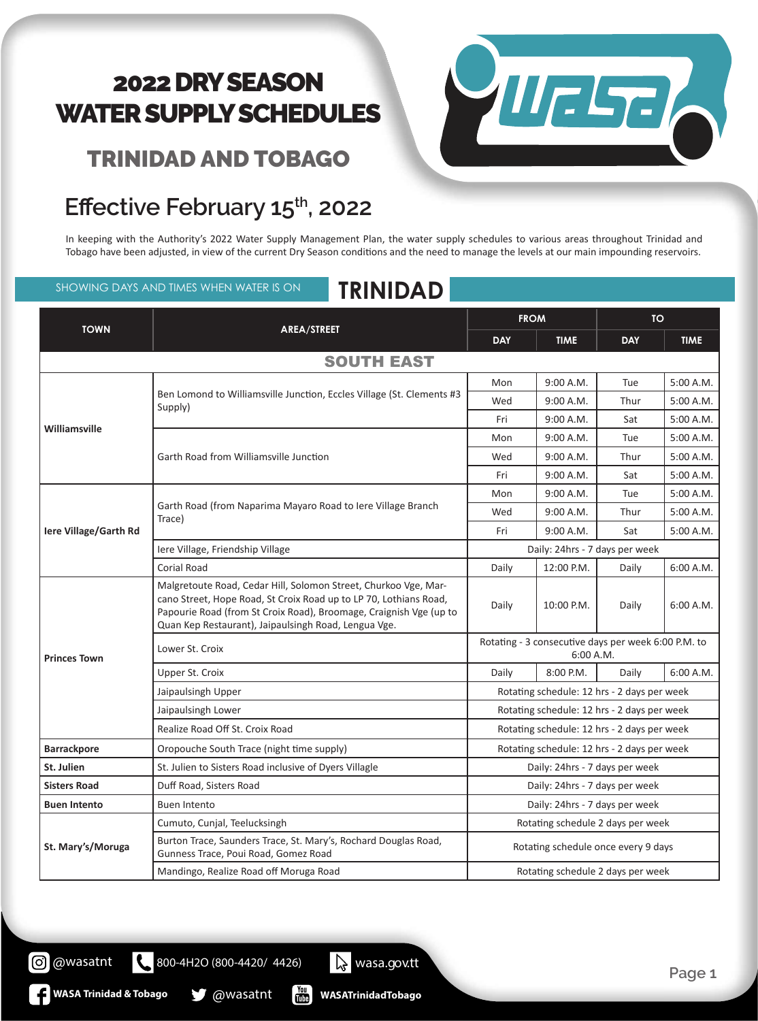#### TRINIDAD AND TOBAGO

#### Effective February 15<sup>th</sup>, 2022

In keeping with the Authority's 2022 Water Supply Management Plan, the water supply schedules to various areas throughout Trinidad and Tobago have been adjusted, in view of the current Dry Season conditions and the need to manage the levels at our main impounding reservoirs.

SHOWING DAYS AND TIMES WHEN WATER IS ON **TRINIDAD** 



| <b>TOWN</b>                  | AREA/STREET                                                                                                                                                                                                                                                        | <b>FROM</b>                                                      |             | <b>TO</b>  |             |  |  |
|------------------------------|--------------------------------------------------------------------------------------------------------------------------------------------------------------------------------------------------------------------------------------------------------------------|------------------------------------------------------------------|-------------|------------|-------------|--|--|
|                              |                                                                                                                                                                                                                                                                    | <b>DAY</b>                                                       | <b>TIME</b> | <b>DAY</b> | <b>TIME</b> |  |  |
| <b>SOUTH EAST</b>            |                                                                                                                                                                                                                                                                    |                                                                  |             |            |             |  |  |
|                              | Ben Lomond to Williamsville Junction, Eccles Village (St. Clements #3<br>Supply)                                                                                                                                                                                   | Mon                                                              | 9:00 A.M.   | Tue        | 5:00 A.M.   |  |  |
|                              |                                                                                                                                                                                                                                                                    | Wed                                                              | 9:00 A.M.   | Thur       | 5:00 A.M.   |  |  |
|                              |                                                                                                                                                                                                                                                                    | Fri                                                              | 9:00 A.M.   | Sat        | 5:00 A.M.   |  |  |
| Williamsville                | Garth Road from Williamsville Junction                                                                                                                                                                                                                             | Mon                                                              | 9:00 A.M.   | Tue        | 5:00 A.M.   |  |  |
|                              |                                                                                                                                                                                                                                                                    | Wed                                                              | 9:00 A.M.   | Thur       | 5:00 A.M.   |  |  |
|                              |                                                                                                                                                                                                                                                                    | Fri                                                              | 9:00 A.M.   | Sat        | 5:00 A.M.   |  |  |
| <b>Iere Village/Garth Rd</b> | Garth Road (from Naparima Mayaro Road to Iere Village Branch<br>Trace)                                                                                                                                                                                             | Mon                                                              | 9:00 A.M.   | Tue        | 5:00 A.M.   |  |  |
|                              |                                                                                                                                                                                                                                                                    | Wed                                                              | 9:00 A.M.   | Thur       | 5:00 A.M.   |  |  |
|                              |                                                                                                                                                                                                                                                                    | Fri                                                              | 9:00 A.M.   | Sat        | 5:00 A.M.   |  |  |
|                              | Iere Village, Friendship Village                                                                                                                                                                                                                                   | Daily: 24hrs - 7 days per week                                   |             |            |             |  |  |
|                              | <b>Corial Road</b>                                                                                                                                                                                                                                                 | Daily                                                            | 12:00 P.M.  | Daily      | 6:00 A.M.   |  |  |
| <b>Princes Town</b>          | Malgretoute Road, Cedar Hill, Solomon Street, Churkoo Vge, Mar-<br>cano Street, Hope Road, St Croix Road up to LP 70, Lothians Road,<br>Papourie Road (from St Croix Road), Broomage, Craignish Vge (up to<br>Quan Kep Restaurant), Jaipaulsingh Road, Lengua Vge. | Daily                                                            | 10:00 P.M.  | Daily      | 6:00 A.M.   |  |  |
|                              | Lower St. Croix                                                                                                                                                                                                                                                    | Rotating - 3 consecutive days per week 6:00 P.M. to<br>6:00 A.M. |             |            |             |  |  |
|                              | Upper St. Croix                                                                                                                                                                                                                                                    | Daily                                                            | 8:00 P.M.   | Daily      | 6:00 A.M.   |  |  |
|                              | Jaipaulsingh Upper                                                                                                                                                                                                                                                 | Rotating schedule: 12 hrs - 2 days per week                      |             |            |             |  |  |
|                              | Jaipaulsingh Lower                                                                                                                                                                                                                                                 | Rotating schedule: 12 hrs - 2 days per week                      |             |            |             |  |  |
|                              | Realize Road Off St. Croix Road                                                                                                                                                                                                                                    | Rotating schedule: 12 hrs - 2 days per week                      |             |            |             |  |  |
| <b>Barrackpore</b>           | Oropouche South Trace (night time supply)                                                                                                                                                                                                                          | Rotating schedule: 12 hrs - 2 days per week                      |             |            |             |  |  |
| St. Julien                   | St. Julien to Sisters Road inclusive of Dyers Villagle                                                                                                                                                                                                             | Daily: 24hrs - 7 days per week                                   |             |            |             |  |  |
| <b>Sisters Road</b>          | Duff Road, Sisters Road                                                                                                                                                                                                                                            | Daily: 24hrs - 7 days per week                                   |             |            |             |  |  |
| <b>Buen Intento</b>          | <b>Buen Intento</b>                                                                                                                                                                                                                                                | Daily: 24hrs - 7 days per week                                   |             |            |             |  |  |
| St. Mary's/Moruga            | Cumuto, Cunjal, Teelucksingh                                                                                                                                                                                                                                       | Rotating schedule 2 days per week                                |             |            |             |  |  |
|                              | Burton Trace, Saunders Trace, St. Mary's, Rochard Douglas Road,<br>Gunness Trace, Poui Road, Gomez Road                                                                                                                                                            | Rotating schedule once every 9 days                              |             |            |             |  |  |
|                              | Mandingo, Realize Road off Moruga Road                                                                                                                                                                                                                             | Rotating schedule 2 days per week                                |             |            |             |  |  |

800-4H2O (800-4420/ 4426) wasa.gov.tt

**WASA Trinidad & Tobago & @wasatnt** 

 $\frac{1}{2}$ 

**WASATrinidadTobago**

@wasatnt [ර]

 $\mathbf{C}$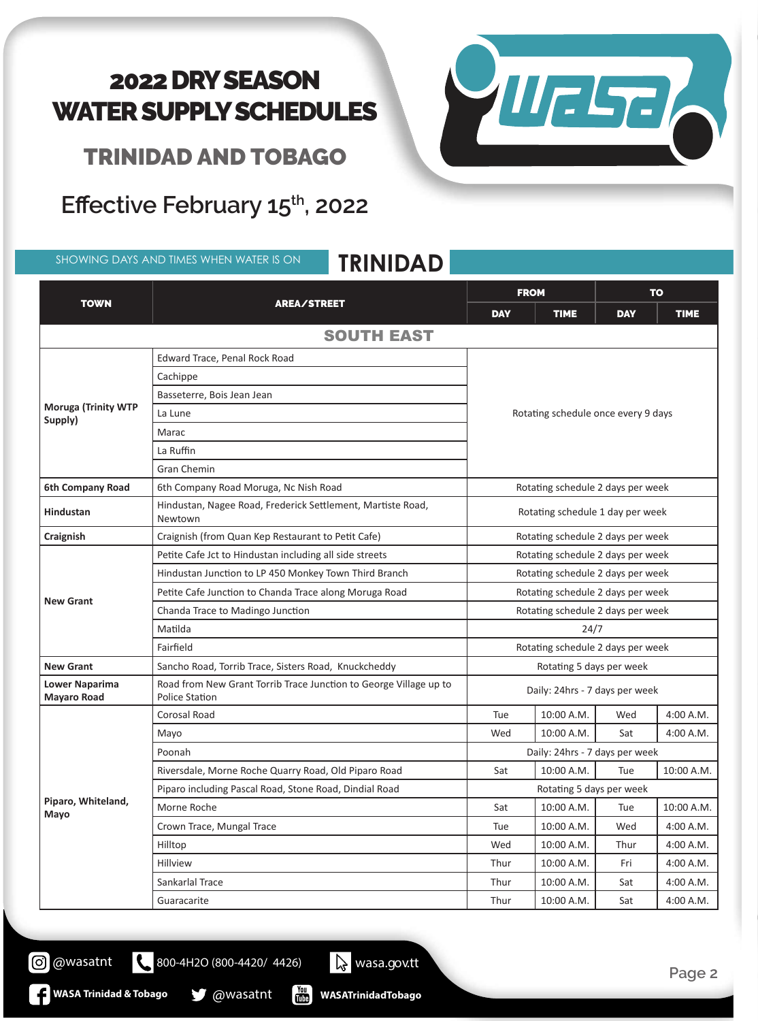TRINIDAD AND TOBAGO

Effective February 15<sup>th</sup>, 2022

SHOWING DAYS AND TIMES WHEN WATER IS ON **TRINIDAD** 



|                                             | ININIDAD                                                                                   |                                     |             |            |             |  |
|---------------------------------------------|--------------------------------------------------------------------------------------------|-------------------------------------|-------------|------------|-------------|--|
| <b>TOWN</b>                                 |                                                                                            | <b>FROM</b>                         |             | <b>TO</b>  |             |  |
|                                             | <b>AREA/STREET</b>                                                                         | <b>DAY</b>                          | <b>TIME</b> | <b>DAY</b> | <b>TIME</b> |  |
|                                             | <b>SOUTH EAST</b>                                                                          |                                     |             |            |             |  |
| <b>Moruga (Trinity WTP</b><br>Supply)       | Edward Trace, Penal Rock Road                                                              |                                     |             |            |             |  |
|                                             | Cachippe                                                                                   | Rotating schedule once every 9 days |             |            |             |  |
|                                             | Basseterre, Bois Jean Jean                                                                 |                                     |             |            |             |  |
|                                             | La Lune                                                                                    |                                     |             |            |             |  |
|                                             | Marac                                                                                      |                                     |             |            |             |  |
|                                             | La Ruffin                                                                                  |                                     |             |            |             |  |
|                                             | Gran Chemin                                                                                |                                     |             |            |             |  |
| 6th Company Road                            | 6th Company Road Moruga, Nc Nish Road                                                      | Rotating schedule 2 days per week   |             |            |             |  |
| <b>Hindustan</b>                            | Hindustan, Nagee Road, Frederick Settlement, Martiste Road,<br>Newtown                     | Rotating schedule 1 day per week    |             |            |             |  |
| Craignish                                   | Craignish (from Quan Kep Restaurant to Petit Cafe)                                         | Rotating schedule 2 days per week   |             |            |             |  |
|                                             | Petite Cafe Jct to Hindustan including all side streets                                    | Rotating schedule 2 days per week   |             |            |             |  |
|                                             | Hindustan Junction to LP 450 Monkey Town Third Branch                                      | Rotating schedule 2 days per week   |             |            |             |  |
|                                             | Petite Cafe Junction to Chanda Trace along Moruga Road                                     | Rotating schedule 2 days per week   |             |            |             |  |
| <b>New Grant</b>                            | Chanda Trace to Madingo Junction                                                           | Rotating schedule 2 days per week   |             |            |             |  |
|                                             | Matilda                                                                                    | 24/7                                |             |            |             |  |
|                                             | Fairfield                                                                                  | Rotating schedule 2 days per week   |             |            |             |  |
| <b>New Grant</b>                            | Sancho Road, Torrib Trace, Sisters Road, Knuckcheddy                                       | Rotating 5 days per week            |             |            |             |  |
| <b>Lower Naparima</b><br><b>Mayaro Road</b> | Road from New Grant Torrib Trace Junction to George Village up to<br><b>Police Station</b> | Daily: 24hrs - 7 days per week      |             |            |             |  |
|                                             | Corosal Road                                                                               | Tue                                 | 10:00 A.M.  | Wed        | 4:00 A.M.   |  |
|                                             | Mayo                                                                                       | Wed                                 | 10:00 A.M.  | Sat        | 4:00 A.M.   |  |
|                                             | Poonah                                                                                     | Daily: 24hrs - 7 days per week      |             |            |             |  |
|                                             | Riversdale, Morne Roche Quarry Road, Old Piparo Road                                       | Sat                                 | 10:00 A.M.  | Tue        | 10:00 A.M.  |  |
| Piparo, Whiteland,<br>Mayo                  | Piparo including Pascal Road, Stone Road, Dindial Road                                     | Rotating 5 days per week            |             |            |             |  |
|                                             | Morne Roche                                                                                | Sat                                 | 10:00 A.M.  | Tue        | 10:00 A.M.  |  |
|                                             | Crown Trace, Mungal Trace                                                                  | Tue                                 | 10:00 A.M.  | Wed        | 4:00 A.M.   |  |
|                                             | Hilltop                                                                                    | Wed                                 | 10:00 A.M.  | Thur       | 4:00 A.M.   |  |
|                                             | Hillview                                                                                   | Thur                                | 10:00 A.M.  | Fri        | 4:00 A.M.   |  |
|                                             | Sankarlal Trace                                                                            | Thur                                | 10:00 A.M.  | Sat        | 4:00 A.M.   |  |
|                                             | Guaracarite                                                                                | Thur                                | 10:00 A.M.  | Sat        | 4:00 A.M.   |  |

800-4H2O (800-4420/ 4426) wasa.gov.tt

**WASA Trinidad & Tobago @wasatnt** 

@wasatnt

**WASATrinidadTobago**

 $\begin{bmatrix} \gamma_{01} \\ \gamma_{11} \\ \gamma_{21} \end{bmatrix}$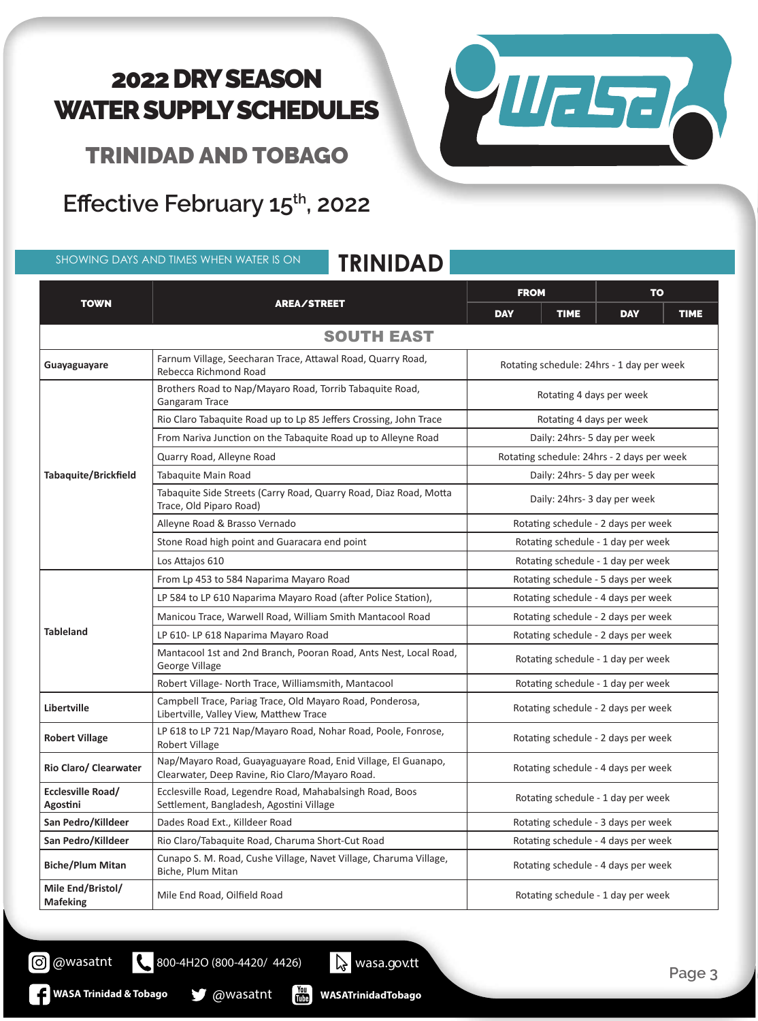Welsel

TRINIDAD AND TOBAGO

**Effective February 15th, 2022**

SHOWING DAYS AND TIMES WHEN WATER IS ON **TRINIDAD**

#### TOWN REALSTREET FROM TO DAY | TIME | DAY | TIME SOUTH EAST **Guayaguayare** Farnum Village, Seecharan Trace, Attawal Road, Quarry Road, Guarry Road, Rotating schedule: 24hrs - 1 day per week **Tabaquite/Brickfield** Brothers Road to Nap/Mayaro Road, Torrib Tabaquite Road, Brothers Rotating 4 days per week<br>Gangaram Trace **Rotating 4 days per week** Rio Claro Tabaquite Road up to Lp 85 Jeffers Crossing, John Trace  $\vert$  Rotating 4 days per week From Nariva Junction on the Tabaquite Road up to Alleyne Road | Daily: 24hrs- 5 day per week Quarry Road, Alleyne Road Rotating schedule: 24hrs - 2 days per week Tabaquite Main Road Daily: 24hrs- 5 day per week Tabaquite Side Streets (Carry Road, Quarry Road, Diaz Road, Motta Trace, Old Piparo Road) Trace, Old Piparo Road) Daily: 24hrs- 3 day per week Alleyne Road & Brasso Vernado Rotating schedule - 2 days per week Stone Road high point and Guaracara end point **Rotating schedule - 1 day per week** Los Attajos 610 Rotating schedule - 1 day per week **Tableland** From Lp 453 to 584 Naparima Mayaro Road Road Road Rotating schedule - 5 days per week LP 584 to LP 610 Naparima Mayaro Road (after Police Station), Rotating schedule - 4 days per week Manicou Trace, Warwell Road, William Smith Mantacool Road Road Rotating schedule - 2 days per week LP 610- LP 618 Naparima Mayaro Road **Robert Communist Communist Communist Communist Communist Communist Communist Communist Communist Communist Communist Communist Communist Communist Communist Communist Communist Communis** Mantacool 1st and 2nd Branch, Pooran Road, Ants Nest, Local Road, George Village Village Containers, Fourant Noad, Africs Nest, Locar Noad,<br>George Village Village Robert Village- North Trace, Williamsmith, Mantacool **Rotating schedule - 1 day per week Libertville** Campbell Trace, Pariag Trace, Old Mayaro Road, Ponderosa, Libertville, Valley View, Matthew Trace Rotating schedule - 2 days per week<br>Libertville, Valley View, Matthew Trace **Robert Village** LP 618 to LP 721 Nap/Mayaro Road, Nohar Road, Poole, Fonrose, Robert Village Rotating schedule - 2 days per week **Rio Claro/ Clearwater** Nap/Mayaro Road, Guayaguayare Road, Enid Village, El Guanapo, Napy Mayaro Road, Guayaguayare Road, Emd Vinage, El Guanapo, Rotating schedule - 4 days per week<br>Clearwater, Deep Ravine, Rio Claro/Mayaro Road. **Ecclesville Road/ Agostini** Ecclesville Road, Legendre Road, Mahabalsingh Road, Boos Settlement, Bangladesh, Agostini Village Rotating schedule - 1 day per week **San Pedro/Killdeer** Dades Road Ext., Killdeer Road Road Rotating schedule - 3 days per week **San Pedro/Killdeer** Rio Claro/Tabaquite Road, Charuma Short-Cut Road Rotating schedule - 4 days per week **Biche/Plum Mitan** Cunapo S. M. Road, Cushe Village, Navet Village, Charuma Village, Biche, Plum Mitan Rotating schedule - 4 days per week **Mile End/Bristol/ Mafeking** Mile End Road, Oilfield Road Rotating schedule - 1 day per week

**WASATrinidadTobago**

800-4H2O (800-4420/ 4426) wasa.gov.tt

 $\frac{v_{\text{out}}}{v_{\text{min}}}$ 

**WASA Trinidad & Tobago @Wasatnt** 

C @wasatnt